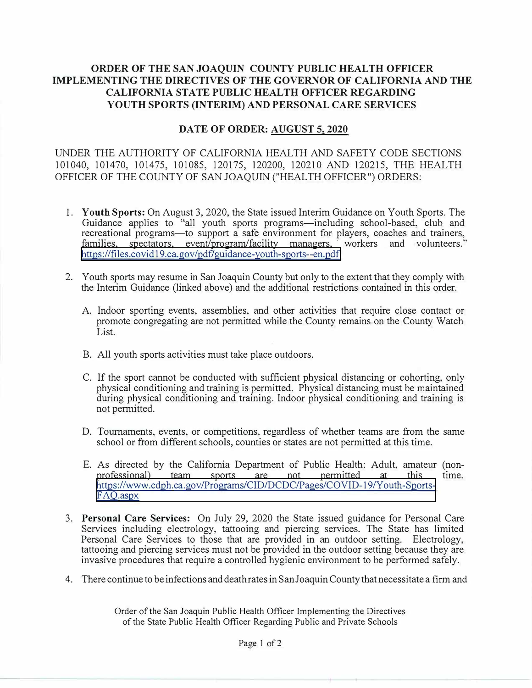## **ORDER OF THE SAN JOAQUIN COUNTY PUBLIC HEALTH OFFICER IMPLEMENTING THE DIRECTIVES OF THE GOVERNOR OF CALIFORNIA AND THE CALIFORNIA STATE PUBLIC HEALTH OFFICER REGARDING YOUTH SPORTS (INTERIM) AND PERSONAL CARE SERVICES**

## DATE OF ORDER: AUGUST 5, 2020

UNDER THE AUTHORITY OF CALIFORNIA HEAL TH AND SAFETY CODE SECTIONS 101040, 101470, 101475, 101085, 120175, 120200, 120210 AND 120215, THE HEALTH OFFICER OF THE COUNTY OF SAN JOAQUIN ("HEALTH OFFICER") ORDERS:

- I. **Youth Sports:** On August 3, 2020, the State issued Interim Guidance on Youth Sports. The Guidance applies to "all youth sports programs-including school-based, club and recreational programs-to support a safe environment for players, coaches and trainers, families. spectators. event/program/facility managers, workers and volunteers." spectators, event/program/facility managers, workers and volunteers." https://files.covid19.ca.gov/pdf/guidance-youth-sports--en.pdf
- 2. Youth sports may resume in San Joaquin County but only to the extent that they comply with the Interim Guidance (linked above) and the additional restrictions contained in this order.
	- A. Indoor sporting events, assemblies, and other activities that require close contact or promote congregating are not permitted while the County remains on the County Watch List.
	- B. All youth sports activities must take place outdoors.
	- C. If the sport cannot be conducted with sufficient physical distancing or cohorting, only physical conditioning and training is permitted. Physical distancing must be maintained during physical conditioning and training. Indoor physical conditioning and training is not permitted.
	- D. Tournaments, events, or competitions, regardless of whether teams are from the same school or from different schools, counties or states are not permitted at this time.
	- E. As directed by the California Department of Public Health: Adult, amateur (non-<br>professional) team sports are not permitted at this time. professional) https://www.cdph.ca.gov/Programs/CID/DCDC/Pages/COVID-19/Youth-Sports-FAQ.aspx
- 3. **Personal Care Services:** On July 29, 2020 the State issued guidance for Personal Care Services including electrology, tattooing and piercing services. The State has limited Personal Care Services to those that are provided in an outdoor setting. Electrology, tattooing and piercing services must not be provided in the outdoor setting because they are invasive procedures that require a controlled hygienic environment to be performed safely.
- 4. There continue to be infections and death rates in San Joaquin County that necessitate a firm and

Order of the San Joaquin Public Health Officer Implementing the Directives of the State Public Health Officer Regarding Public and Private Schools